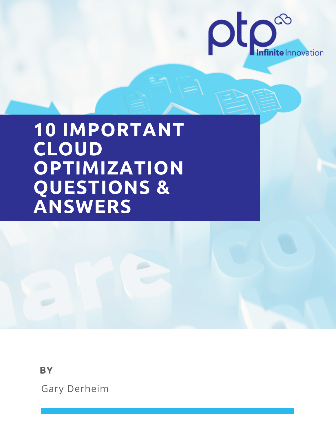

# **10 IMPORTANT CLOUD OPTIMIZATION QUESTIONS & ANSWERS**

**BY**

Gary Derheim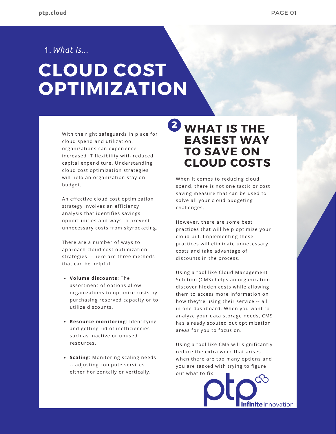1.*What is...*

# **CLOUD COST OPTIMIZATION**

With the right safeguards in place for cloud spend and utilization, organizations can experience increased IT flexibility with reduced capital expenditure. Understanding cloud cost optimization strategies will help an organization stay on budget.

An effective cloud cost optimization strategy involves an efficiency analysis that identifies savings opportunities and ways to prevent unnecessary costs from skyrocketing.

There are a number of ways to approach cloud cost optimization strategies -- here are three methods that can be helpful:

- **Volume discounts**: The assortment of options allow organizations to optimize costs by purchasing reserved capacity or to utilize discounts.
- **Resource monitoring**: Identifying and getting rid of inefficiencies such as inactive or unused resources.
- **Scaling**: Monitoring scaling needs -- adjusting compute services either horizontally or vertically.

# **<sup>2</sup> WHAT IS THE EASIEST WAY TO SAVE ON CLOUD COSTS**

When it comes to reducing cloud spend, there is not one tactic or cost saving measure that can be used to solve all your cloud budgeting challenges.

However, there are some best practices that will help optimize your cloud bill. Implementing these practices will eliminate unnecessary costs and take advantage of discounts in the process.

Using a tool like Cloud Management Solution (CMS) helps an organization discover hidden costs while allowing them to access more information on how they're using their service -- all in one dashboard. When you want to analyze your data storage needs, CMS has already scouted out optimization areas for you to focus on.

Using a tool like CMS will significantly reduce the extra work that arises when there are too many options and you are tasked with trying to figure out what to fix.

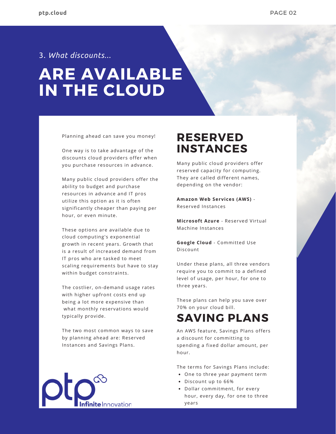### 3. *What discounts...*

# **ARE AVAILABLE IN THE CLOUD**

Planning ahead can save you money!

One way is to take advantage of the discounts cloud providers offer when you purchase resources in advance.

Many public cloud providers offer the ability to budget and purchase resources in advance and IT pros utilize this option as it is often significantly cheaper than paying per hour, or even minute.

These options are available due to cloud computing's exponential growth in recent years. Growth that is a result of increased demand from IT pros who are tasked to meet scaling requirements but have to stay within budget constraints.

The costlier, on-demand usage rates with higher upfront costs end up being a lot more expensive than what monthly reservations would typically provide.

The two most common ways to save by planning ahead are: Reserved Instances and Savings Plans.



### **RESERVED INSTANCES**

Many public cloud providers offer reserved capacity for computing. They are called different names, depending on the vendor:

**Amazon Web Services (AWS)** - Reserved Instances

**Microsoft Azure** - Reserved Virtual Machine Instances

**Google Cloud** - Committed Use Discount

Under these plans, all three vendors require you to commit to a defined level of usage, per hour, for one to three years.

These plans can help you save over 70% on your cloud bill.

### **SAVING PLANS**

An AWS feature, Savings Plans offers a discount for committing to spending a fixed dollar amount, per hour.

The terms for Savings Plans include:

- One to three year payment term
- Discount up to 66%
- Dollar commitment, for every hour, every day, for one to three years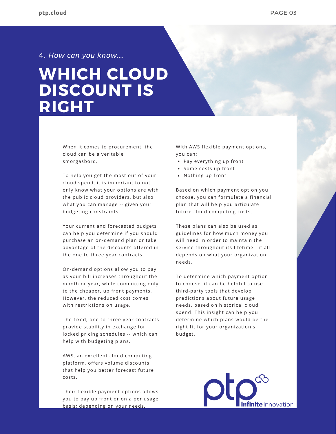4. *How can you know...*

# **WHICH CLOUD DISCOUNT IS RIGHT**

When it comes to procurement, the cloud can be a veritable smorgasbord.

To help you get the most out of your cloud spend, it is important to not only know what your options are with the public cloud providers, but also what you can manage -- given your budgeting constraints.

Your current and forecasted budgets can help you determine if you should purchase an on-demand plan or take advantage of the discounts offered in the one to three year contracts.

On-demand options allow you to pay as your bill increases throughout the month or year, while committing only to the cheaper, up front payments. However, the reduced cost comes with restrictions on usage.

The fixed, one to three year contracts provide stability in exchange for locked pricing schedules -- which can help with budgeting plans.

AWS, an excellent cloud computing platform, offers volume discounts that help you better forecast future costs.

Their flexible payment options allows you to pay up front or on a per usage basis; depending on your needs.

With AWS flexible payment options, you can:

- Pay everything up front
- Some costs up front
- Nothing up front

Based on which payment option you choose, you can formulate a financial plan that will help you articulate future cloud computing costs.

These plans can also be used as guidelines for how much money you will need in order to maintain the service throughout its lifetime - it all depends on what your organization needs.

To determine which payment option to choose, it can be helpful to use third-party tools that develop predictions about future usage needs, based on historical cloud spend. This insight can help you determine which plans would be the right fit for your organization's budget.

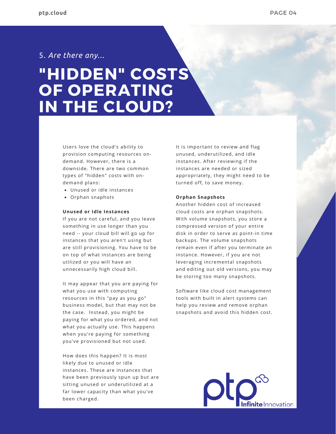### 5. *Are there any...*

# **"HIDDEN" COSTS OF OPERATING IN THE CLOUD?**

Users love the cloud's ability to provision computing resources ondemand. However, there is a downside. There are two common types of "hidden" costs with ondemand plans:

- Unused or idle instances
- Orphan snaphots

#### **Unused or Idle Instances**

If you are not careful, and you leave something in use longer than you need -- your cloud bill will go up for instances that you aren't using but are still provisioning. You have to be on top of what instances are being utilized or you will have an unnecessarily high cloud bill.

It may appear that you are paying for what you use with computing resources in this "pay as you go" business model, but that may not be the case. Instead, you might be paying for what you ordered, and not what you actually use. This happens when you're paying for something you've provisioned but not used.

How does this happen? It is most likely due to unused or idle instances. These are instances that have been previously spun up but are sitting unused or underutilized at a far lower capacity than what you've been charged.

It is important to review and flag unused, underutilized, and idle instances. After reviewing if the instances are needed or sized appropriately, they might need to be turned off, to save money.

#### **Orphan Snapshots**

Another hidden cost of increased cloud costs are orphan snapshots. With volume snapshots, you store a compressed version of your entire disk in order to serve as point-in time backups. The volume snapshots remain even if after you terminate an instance. However, if you are not leveraging incremental snapshots and editing out old versions, you may be storing too many snapshots.

Software like cloud cost management tools with built in alert systems can help you review and remove orphan snapshots and avoid this hidden cost.

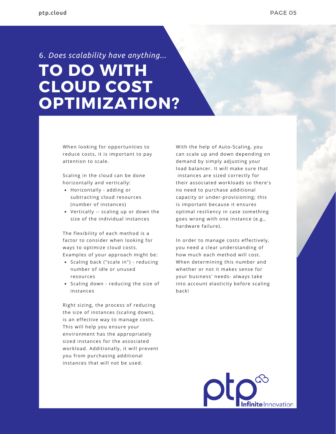# **TO DO WITH CLOUD COST OPTIMIZATION?** 6. *Does scalability have anything...*

When looking for opportunities to reduce costs, it is important to pay attention to scale.

Scaling in the cloud can be done horizontally and vertically:

- Horizontally adding or subtracting cloud resources (number of instances)
- Vertically -- scaling up or down the size of the individual instances

The flexibility of each method is a factor to consider when looking for ways to optimize cloud costs. Examples of your approach might be:

- Scaling back ("scale in") reducing number of idle or unused resources
- Scaling down reducing the size of instances

Right sizing, the process of reducing the size of instances (scaling down), is an effective way to manage costs. This will help you ensure your environment has the appropriately sized instances for the associated workload. Additionally, it will prevent you from purchasing additional instances that will not be used.

With the help of Auto-Scaling, you can scale up and down depending on demand by simply adjusting your load balancer. It will make sure that instances are sized correctly for their associated workloads so there's no need to purchase additional capacity or under-provisioning; this is important because it ensures optimal resiliency in case something goes wrong with one instance (e.g., hardware failure).

In order to manage costs effectively, you need a clear understanding of how much each method will cost. When determining this number and whether or not it makes sense for your business' needs- always take into account elasticity before scaling back!

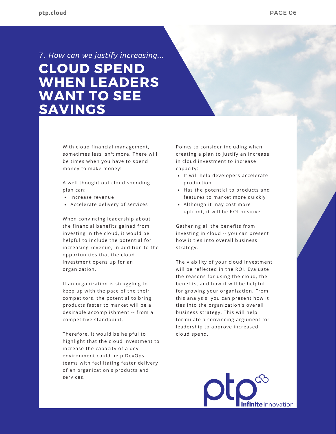# **CLOUD SPEND WHEN LEADERS WANT TO SEE SAVINGS** 7. *How can we justify increasing...*

With cloud financial management, sometimes less isn't more. There will be times when you have to spend money to make money!

A well thought out cloud spending plan can:

- Increase revenue
- Accelerate delivery of services

When convincing leadership about the financial benefits gained from investing in the cloud, it would be helpful to include the potential for increasing revenue, in addition to the opportunities that the cloud investment opens up for an organization.

If an organization is struggling to keep up with the pace of the their competitors, the potential to bring products faster to market will be a desirable accomplishment -- from a competitive standpoint.

Therefore, it would be helpful to highlight that the cloud investment to increase the capacity of a dev environment could help DevOps teams with facilitating faster delivery of an organization's products and services.

Points to consider including when creating a plan to justify an increase in cloud investment to increase capacity:

- It will help developers accelerate production
- Has the potential to products and features to market more quickly
- Although it may cost more upfront, it will be ROI positive

Gathering all the benefits from investing in cloud -- you can present how it ties into overall business strategy.

The viability of your cloud investment will be reflected in the ROI. Evaluate the reasons for using the cloud, the benefits, and how it will be helpful for growing your organization. From this analysis, you can present how it ties into the organization's overall business strategy. This will help formulate a convincing argument for leadership to approve increased cloud spend.

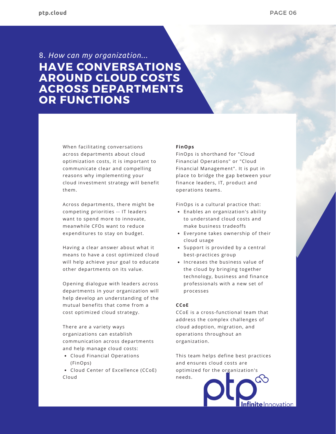### **HAVE CONVERSATIONS AROUND CLOUD COSTS ACROSS DEPARTMENTS OR FUNCTIONS** 8. *How can my organization...*

When facilitating conversations across departments about cloud optimization costs, it is important to communicate clear and compelling reasons why implementing your cloud investment strategy will benefit them.

Across departments, there might be competing priorities -- IT leaders want to spend more to innovate, meanwhile CFOs want to reduce expenditures to stay on budget.

Having a clear answer about what it means to have a cost optimized cloud will help achieve your goal to educate other departments on its value.

Opening dialogue with leaders across departments in your organization will help develop an understanding of the mutual benefits that come from a cost optimized cloud strategy.

There are a variety ways organizations can establish communication across departments and help manage cloud costs:

- Cloud Financial Operations (FinOps)
- Cloud Center of Excellence (CCoE) Cloud

### **FinOps**

FinOps is shorthand for "Cloud Financial Operations" or "Cloud Financial Management". It is put in place to bridge the gap between your finance leaders, IT, product and operations teams.

FinOps is a cultural practice that:

- Enables an organization's ability to understand cloud costs and make business tradeoffs
- Everyone takes ownership of their cloud usage
- Support is provided by a central best-practices group
- Increases the business value of the cloud by bringing together technology, business and finance professionals with a new set of processes

### **CCoE**

CCoE is a cross-functional team that address the complex challenges of cloud adoption, migration, and operations throughout an organization.

This team helps define best practices and ensures cloud costs are optimized for the organization's needs.

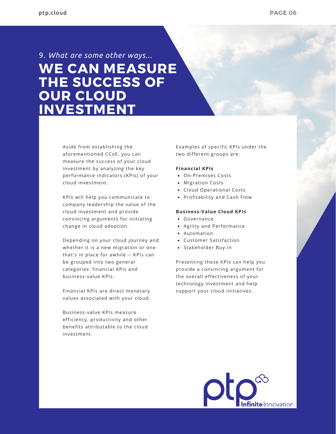## **WE CAN MEASURE THE SUCCESS OF OUR CLOUD INVESTMENT** 9. *What are some other ways...*

Aside from establishing the aforementioned CCoE, you can measure the success of your cloud investment by analyzing the key performance indicators (KPIs) of your cloud investment.

KPIs will help you communicate to company leadership the value of the cloud investment and provide convincing arguments for initiating change in cloud adoption.

Depending on your cloud journey and whether it is a new migration or one that's in place for awhile -- KPIs can be grouped into two general categories: financial KPIs and business-value KPIs.

Financial KPIs are direct monetary values associated with your cloud.

Business-value KPIs measure efficiency, productivity and other benefits attributable to the cloud investment.

Examples of specific KPIs under the two different groups are:

### **Financial KPIs**

- On-Premises Costs
- Migration Costs
- Cloud Operational Costs
- Profitability and Cash Flow

#### **Business-Value Cloud KPIs**

- Governance
- Agility and Performance
- Automation
- Customer Satisfaction
- Stakeholder Buy-in

Presenting these KPIs can help you provide a convincing argument for the overall effectiveness of your technology investment and help support your cloud initiatives.